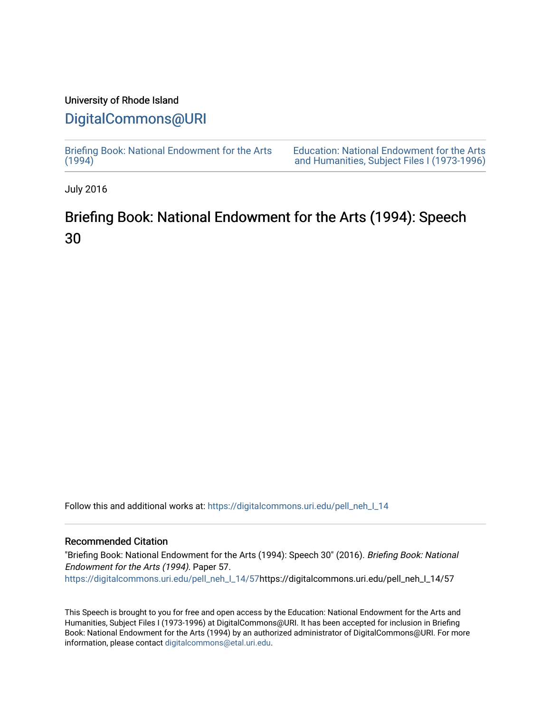### University of Rhode Island

## [DigitalCommons@URI](https://digitalcommons.uri.edu/)

[Briefing Book: National Endowment for the Arts](https://digitalcommons.uri.edu/pell_neh_I_14)  $(1994)$ 

[Education: National Endowment for the Arts](https://digitalcommons.uri.edu/pell_neh_I)  [and Humanities, Subject Files I \(1973-1996\)](https://digitalcommons.uri.edu/pell_neh_I) 

July 2016

# Briefing Book: National Endowment for the Arts (1994): Speech 30

Follow this and additional works at: [https://digitalcommons.uri.edu/pell\\_neh\\_I\\_14](https://digitalcommons.uri.edu/pell_neh_I_14?utm_source=digitalcommons.uri.edu%2Fpell_neh_I_14%2F57&utm_medium=PDF&utm_campaign=PDFCoverPages) 

#### Recommended Citation

"Briefing Book: National Endowment for the Arts (1994): Speech 30" (2016). Briefing Book: National Endowment for the Arts (1994). Paper 57. [https://digitalcommons.uri.edu/pell\\_neh\\_I\\_14/57h](https://digitalcommons.uri.edu/pell_neh_I_14/57?utm_source=digitalcommons.uri.edu%2Fpell_neh_I_14%2F57&utm_medium=PDF&utm_campaign=PDFCoverPages)ttps://digitalcommons.uri.edu/pell\_neh\_I\_14/57

This Speech is brought to you for free and open access by the Education: National Endowment for the Arts and Humanities, Subject Files I (1973-1996) at DigitalCommons@URI. It has been accepted for inclusion in Briefing Book: National Endowment for the Arts (1994) by an authorized administrator of DigitalCommons@URI. For more information, please contact [digitalcommons@etal.uri.edu.](mailto:digitalcommons@etal.uri.edu)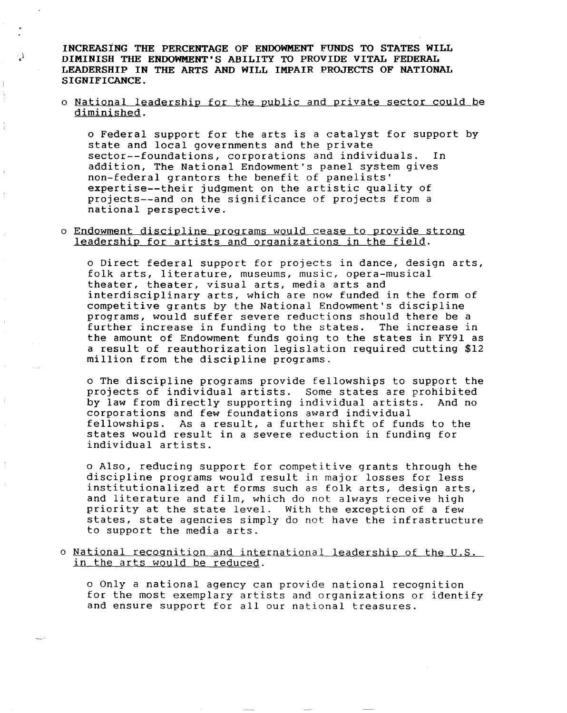INCREASING THE PERCENTAGE OF ENDOWMENT FUNDS TO STATES WILL <sup>1</sup> DIMINISH THE ENDOWMENT'S ABILITY TO PROVIDE VITAL FEDERAL LEADERSHIP IN THE ARTS AND WILL IMPAIR PROJECTS OF NATIONAL SIGNIFICANCE.

#### o National leadership for the public and private sector could be diminished.

o Federal support for the arts is a catalyst for support by state and local governments and the private sector--foundations, corporations and individuals. In addition, The National Endowment's panel system gives non-federal grantors the benefit of panelists' expertise--their judgment on the artistic quality of projects--and on the significance of projects from a national perspective.

#### o Endowment discipline programs would cease to provide strong leadership for artists and organizations in the field.

o Direct federal support for projects in dance, design arts, folk arts, literature, museums, music, opera-musical theater, theater, visual arts, media arts and interdisciplinary arts, which are now funded in the form of competitive grants by the National Endowment's discipline programs, would suffer severe reductions should there be a further increase in funding to the states. the amount of Endowment funds going to the states in FY91 as a result of reauthorization legislation required cutting \$12 million from the discipline programs.

o The discipline programs provide fellowships to support the projects of individual artists. Some states are prohibited by law from directly supporting individual artists. corporations and few foundations award individual fellowships. As a result, a further shift of funds to the states would result in a severe reduction in funding for individual artists.

o Also, reducing support for competitive grants through the discipline programs would result in major losses for less institutionalized art forms such as folk arts, design arts, and literature and film, which do not always receive high priority at the state level. With the exception of a few states, state agencies simply do not have the infrastructure to support the media arts.

o National recognition and international leadership of the U.S. in the arts would be reduced.

o Only a national agency can provide national recognition for the most exemplary artists and organizations or identify and ensure support for all our national treasures.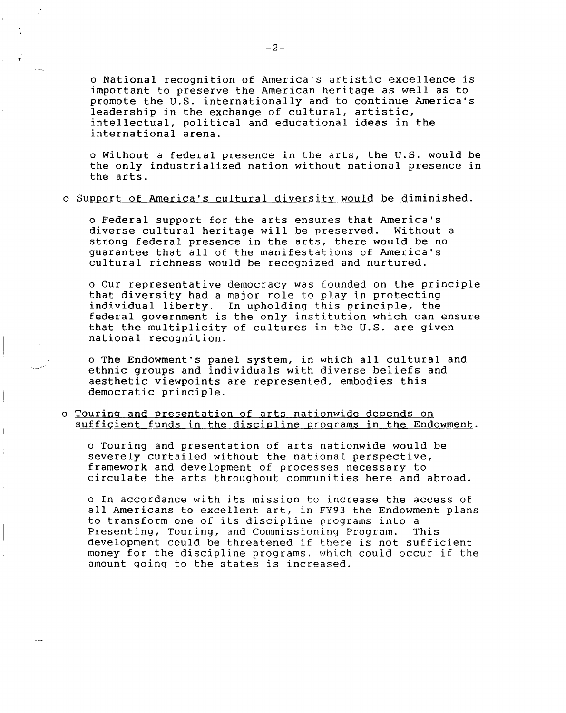o National recognition of America's artistic excellence is important to preserve the American heritage as well as to promote the U.S. internationally and to continue America's leadership in the exchange of cultural, artistic, intellectual, political and educational ideas in the international arena.

o Without a federal presence in the arts, the U.S. would be the only industrialized nation without national presence in the arts.

#### o Support of America's cultural diversity would be diminished.

o Federal support for the arts ensures that America's diverse cultural heritage will be preserved. strong federal presence in the arts, there would be no guarantee that all of the manifestations of America's cultural richness would be recognized and nurtured.

o Our representative democracy was founded on the principle that diversity had a major role to play in protecting individual liberty. In upholding this principle, the federal government is the only institution which can ensure that the multiplicity of cultures in the U.S. are given national recognition.

o The Endowment's panel system, in which all cultural and ethnic groups and individuals with diverse beliefs and aesthetic viewpoints are represented, embodies this democratic principle.

#### o Touring and presentation of arts nationwide depends on sufficient funds in the discipline programs in the Endowment.

o Touring and presentation of arts nationwide would be severely curtailed without the national perspective, framework and development of processes necessary to circulate the arts throughout communities here and abroad.

o In accordance with its mission to increase the access of all Americans to excellent art, in FY93 the Endowment plans to transform one of its discipline programs into a Presenting, Touring, and Commissioning Program. development could be threatened if there is not sufficient money for the discipline programs, which could occur if the amount going to the states is increased.